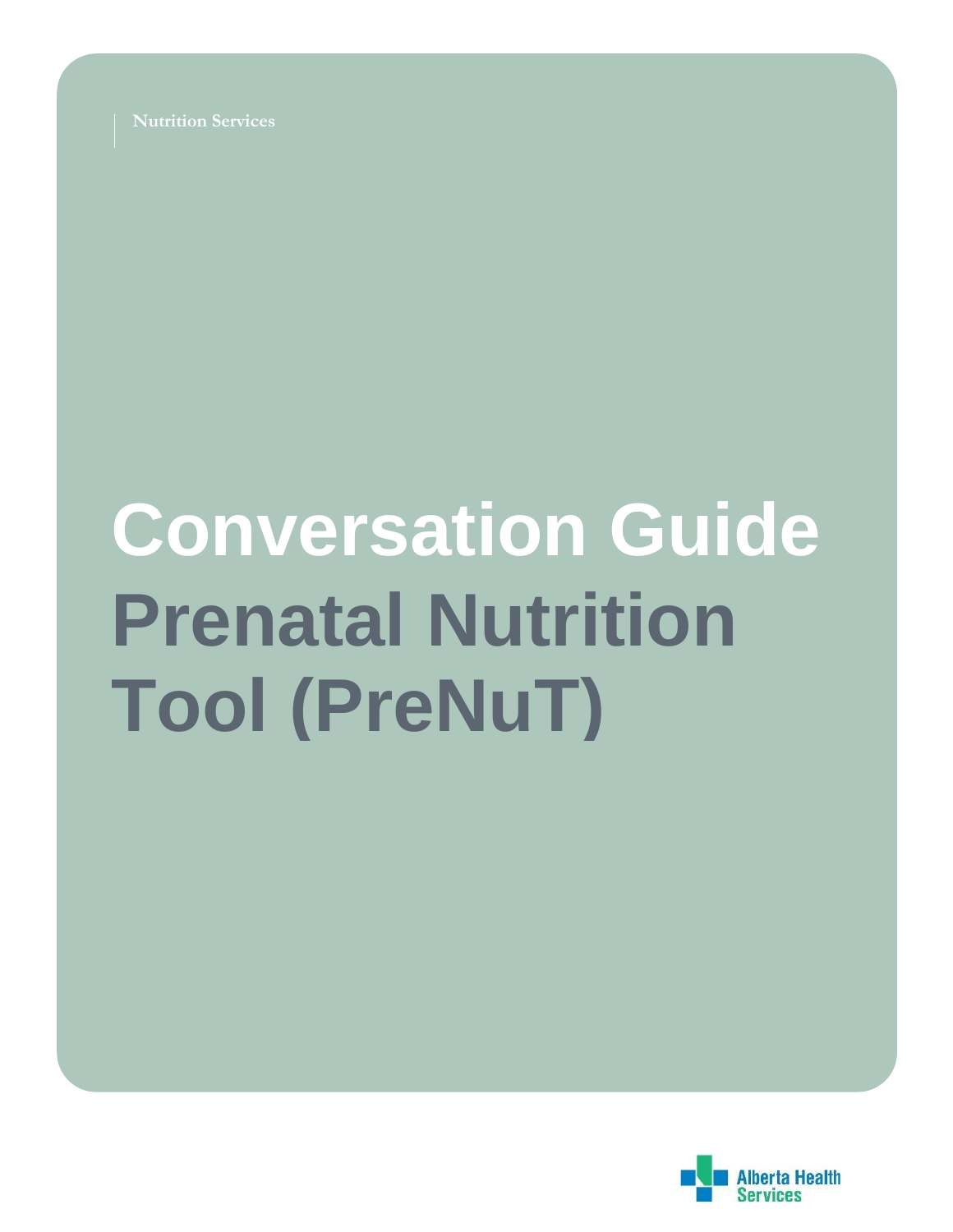**Nutrition Services**

# **Conversation Guide Prenatal Nutrition Tool (PreNuT)**

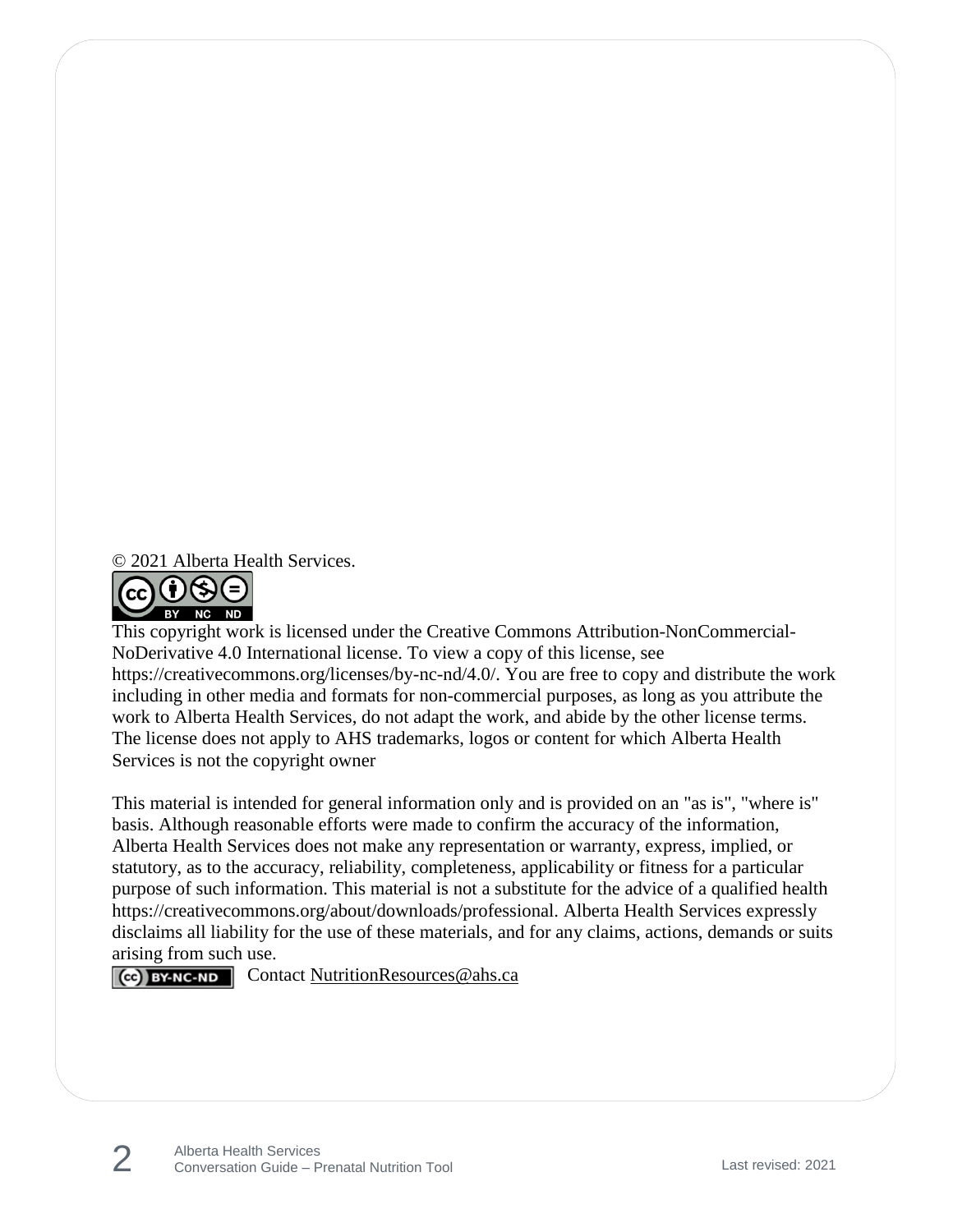© 2021 Alberta Health Services.



This copyright work is licensed under the Creative Commons Attribution-NonCommercial-NoDerivative 4.0 International license. To view a copy of this license, see https://creativecommons.org/licenses/by-nc-nd/4.0/. You are free to copy and distribute the work including in other media and formats for non-commercial purposes, as long as you attribute the work to Alberta Health Services, do not adapt the work, and abide by the other license terms. The license does not apply to AHS trademarks, logos or content for which Alberta Health Services is not the copyright owner

This material is intended for general information only and is provided on an "as is", "where is" basis. Although reasonable efforts were made to confirm the accuracy of the information, Alberta Health Services does not make any representation or warranty, express, implied, or statutory, as to the accuracy, reliability, completeness, applicability or fitness for a particular purpose of such information. This material is not a substitute for the advice of a qualified health https://creativecommons.org/about/downloads/professional. Alberta Health Services expressly disclaims all liability for the use of these materials, and for any claims, actions, demands or suits arising from such use.

 $\vert$  Contact [NutritionResources@ahs.ca](mailto:NutritionResources@ahs.ca)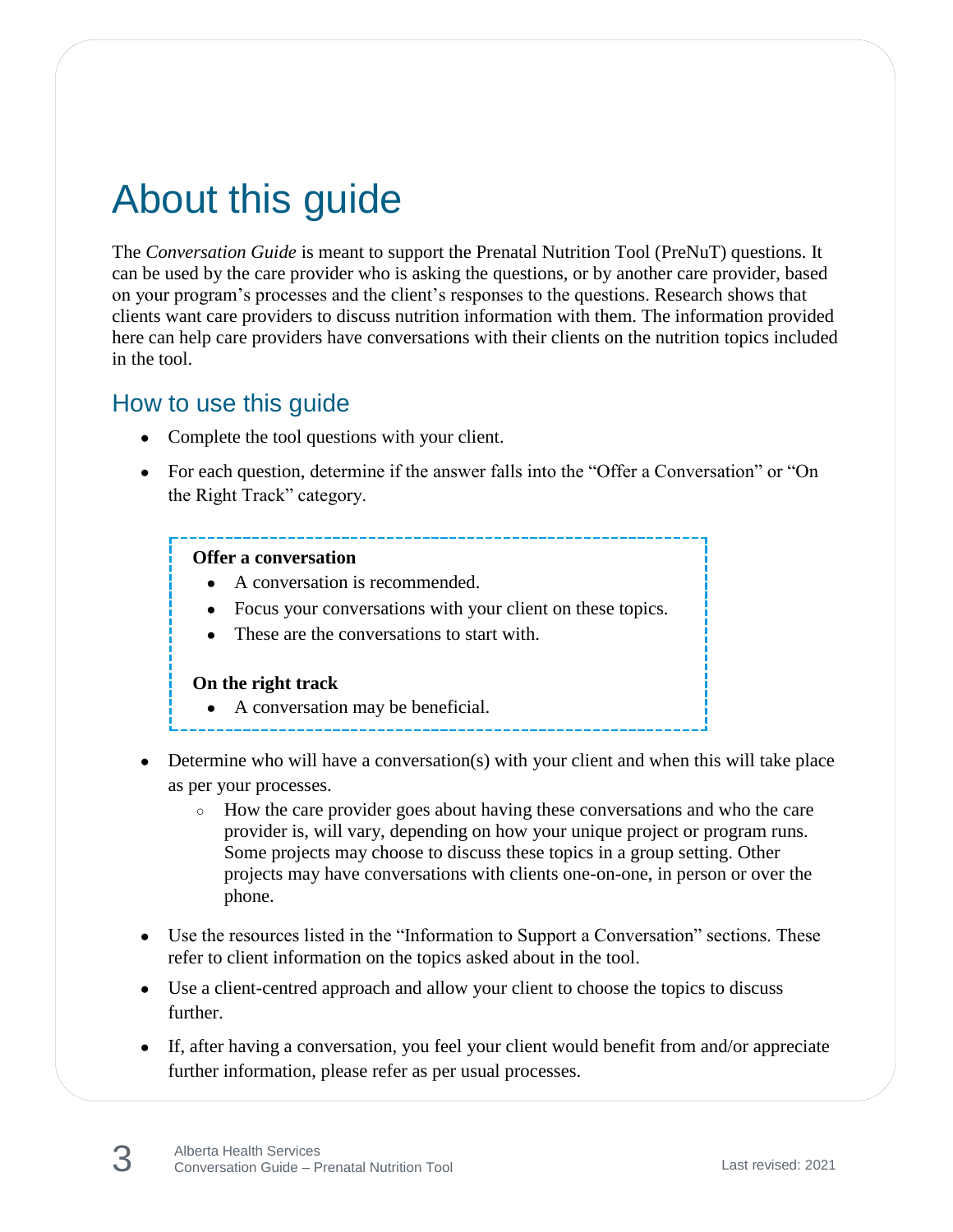# About this guide

The *Conversation Guide* is meant to support the Prenatal Nutrition Tool (PreNuT) questions. It can be used by the care provider who is asking the questions, or by another care provider, based on your program's processes and the client's responses to the questions. Research shows that clients want care providers to discuss nutrition information with them. The information provided here can help care providers have conversations with their clients on the nutrition topics included in the tool.

#### How to use this guide

- Complete the tool questions with your client.
- For each question, determine if the answer falls into the "Offer a Conversation" or "On the Right Track" category.

#### **Offer a conversation**

- A conversation is recommended.
- Focus your conversations with your client on these topics.
- These are the conversations to start with.

#### **On the right track**

- A conversation may be beneficial.
- 
- Determine who will have a conversation(s) with your client and when this will take place as per your processes.
	- How the care provider goes about having these conversations and who the care provider is, will vary, depending on how your unique project or program runs. Some projects may choose to discuss these topics in a group setting. Other projects may have conversations with clients one-on-one, in person or over the phone.
- Use the resources listed in the "Information to Support a Conversation" sections. These refer to client information on the topics asked about in the tool.
- Use a client-centred approach and allow your client to choose the topics to discuss further.
- If, after having a conversation, you feel your client would benefit from and/or appreciate further information, please refer as per usual processes.

3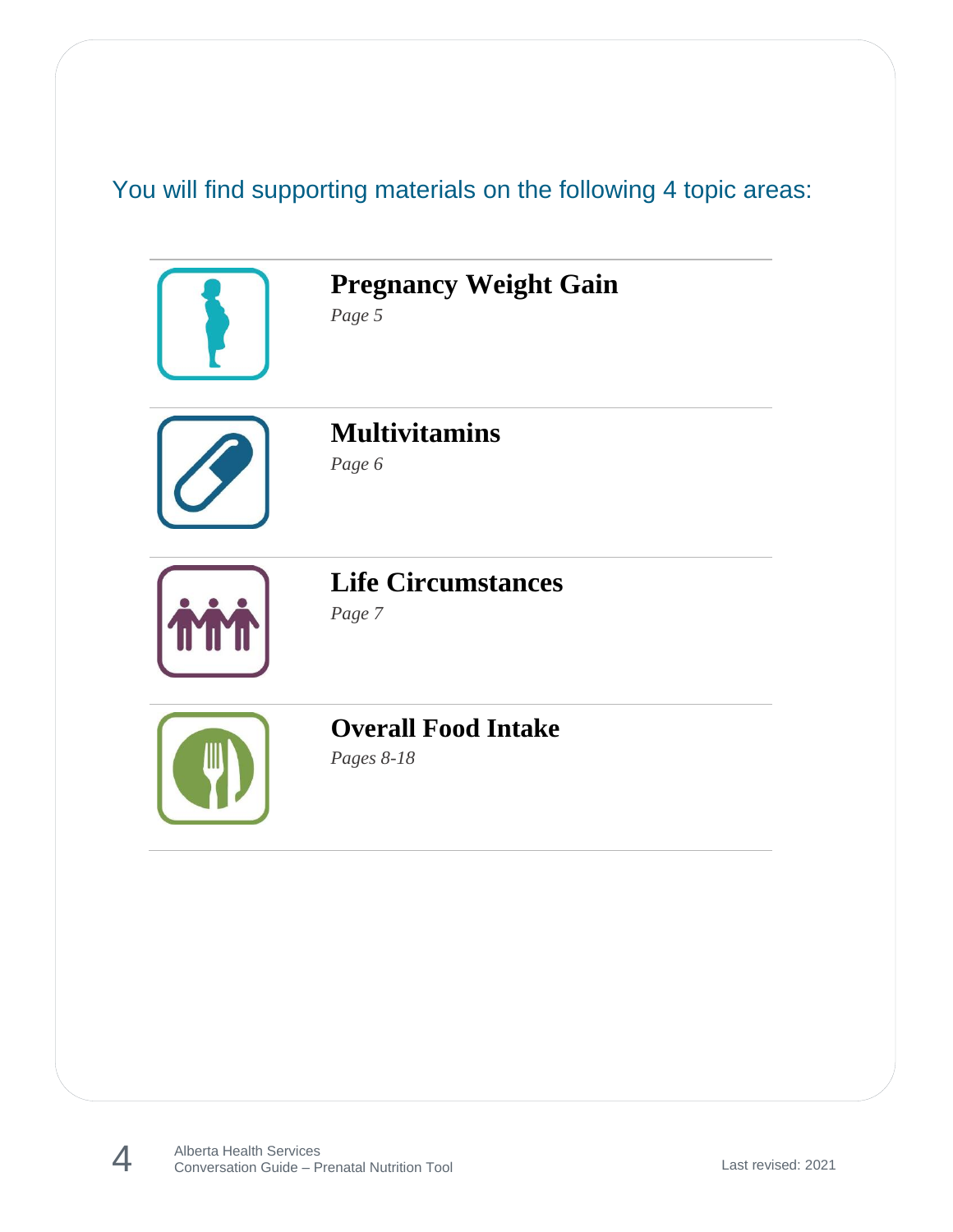## You will find supporting materials on the following 4 topic areas:



Alberta Health Services Conversation Guide – Prenatal Nutrition Tool Last revised: 2021

4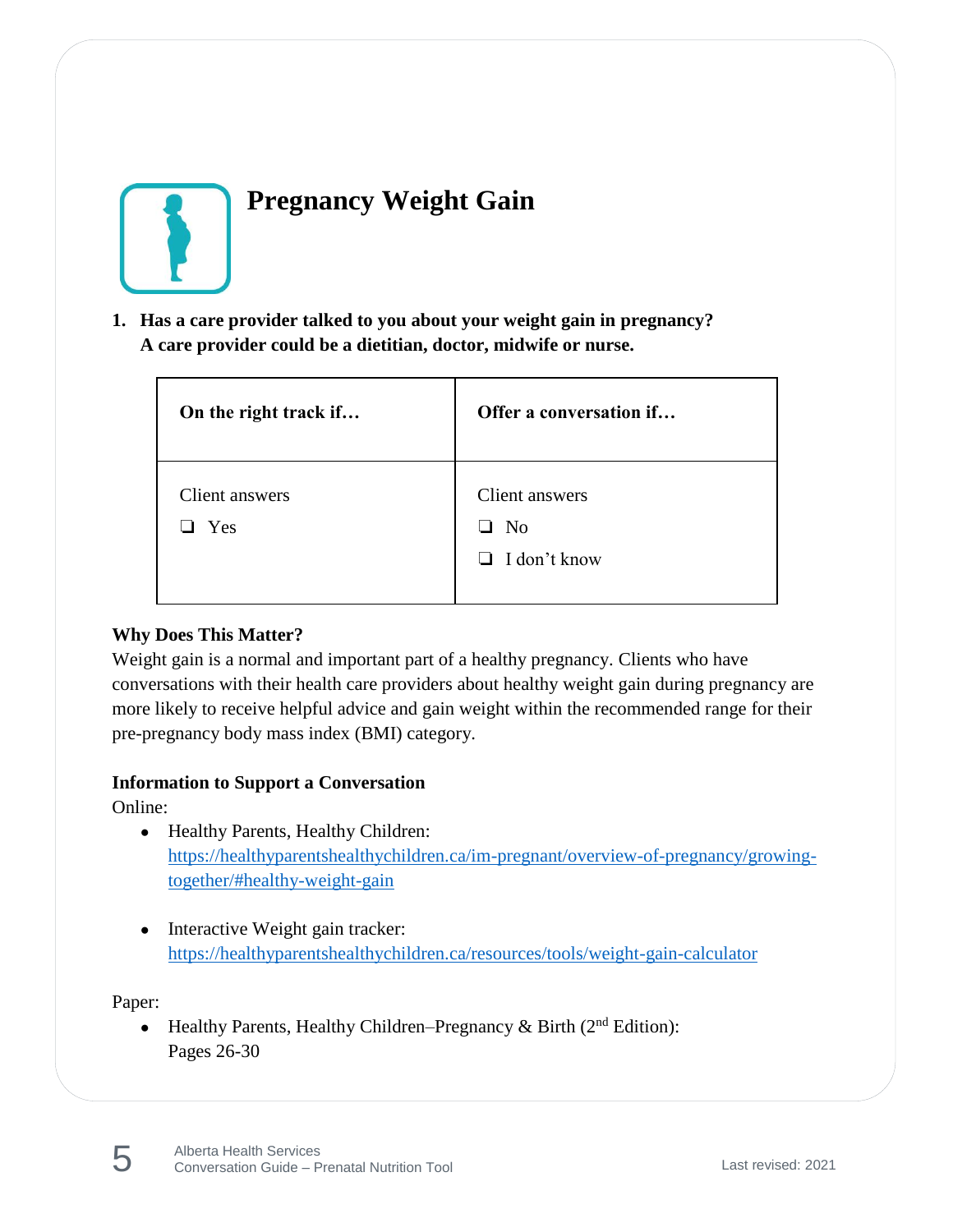

## **Pregnancy Weight Gain**

**1. Has a care provider talked to you about your weight gain in pregnancy? A care provider could be a dietitian, doctor, midwife or nurse.**

| On the right track if | Offer a conversation if                           |
|-----------------------|---------------------------------------------------|
| Client answers<br>Yes | Client answers<br>No.<br>ப<br>$\Box$ I don't know |

#### **Why Does This Matter?**

Weight gain is a normal and important part of a healthy pregnancy. Clients who have conversations with their health care providers about healthy weight gain during pregnancy are more likely to receive helpful advice and gain weight within the recommended range for their pre-pregnancy body mass index (BMI) category.

#### **Information to Support a Conversation**

Online:

- Healthy Parents, Healthy Children: [https://healthyparentshealthychildren.ca/im-pregnant/overview-of-pregnancy/growing](https://healthyparentshealthychildren.ca/im-pregnant/overview-of-pregnancy/growing-together/#healthy-weight-gain)[together/#healthy-weight-gain](https://healthyparentshealthychildren.ca/im-pregnant/overview-of-pregnancy/growing-together/#healthy-weight-gain)
- Interactive Weight gain tracker: <https://healthyparentshealthychildren.ca/resources/tools/weight-gain-calculator>

Paper:

• Healthy Parents, Healthy Children–Pregnancy & Birth  $(2^{nd}$  Edition): Pages 26-30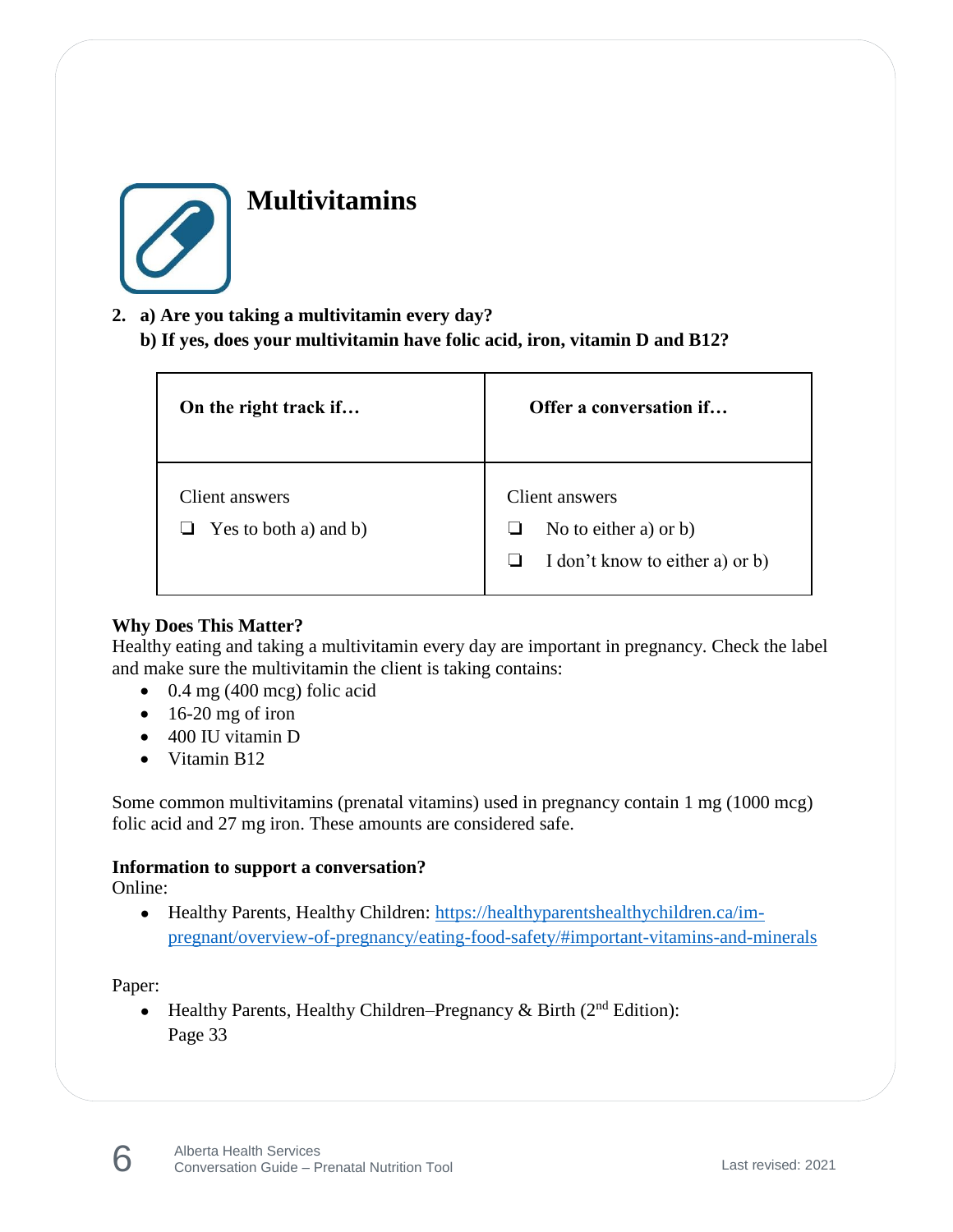

### **Multivitamins**

- **2. a) Are you taking a multivitamin every day?** 
	- **b) If yes, does your multivitamin have folic acid, iron, vitamin D and B12?**

| On the right track if                          | Offer a conversation if                                                            |
|------------------------------------------------|------------------------------------------------------------------------------------|
| Client answers<br>$\Box$ Yes to both a) and b) | Client answers<br>No to either a) or $b$ )<br>I don't know to either a) or b)<br>⊔ |

#### **Why Does This Matter?**

Healthy eating and taking a multivitamin every day are important in pregnancy. Check the label and make sure the multivitamin the client is taking contains:

- $\bullet$  0.4 mg (400 mcg) folic acid
- $\bullet$  16-20 mg of iron
- 400 IU vitamin D
- Vitamin B12

Some common multivitamins (prenatal vitamins) used in pregnancy contain 1 mg (1000 mcg) folic acid and 27 mg iron. These amounts are considered safe.

#### **Information to support a conversation?**

Online:

• Healthy Parents, Healthy Children: [https://healthyparentshealthychildren.ca/im](https://healthyparentshealthychildren.ca/im-pregnant/overview-of-pregnancy/eating-food-safety/#important-vitamins-and-minerals)[pregnant/overview-of-pregnancy/eating-food-safety/#important-vitamins-and-minerals](https://healthyparentshealthychildren.ca/im-pregnant/overview-of-pregnancy/eating-food-safety/#important-vitamins-and-minerals)

#### Paper:

6

• Healthy Parents, Healthy Children–Pregnancy & Birth  $(2^{nd}$  Edition): Page 33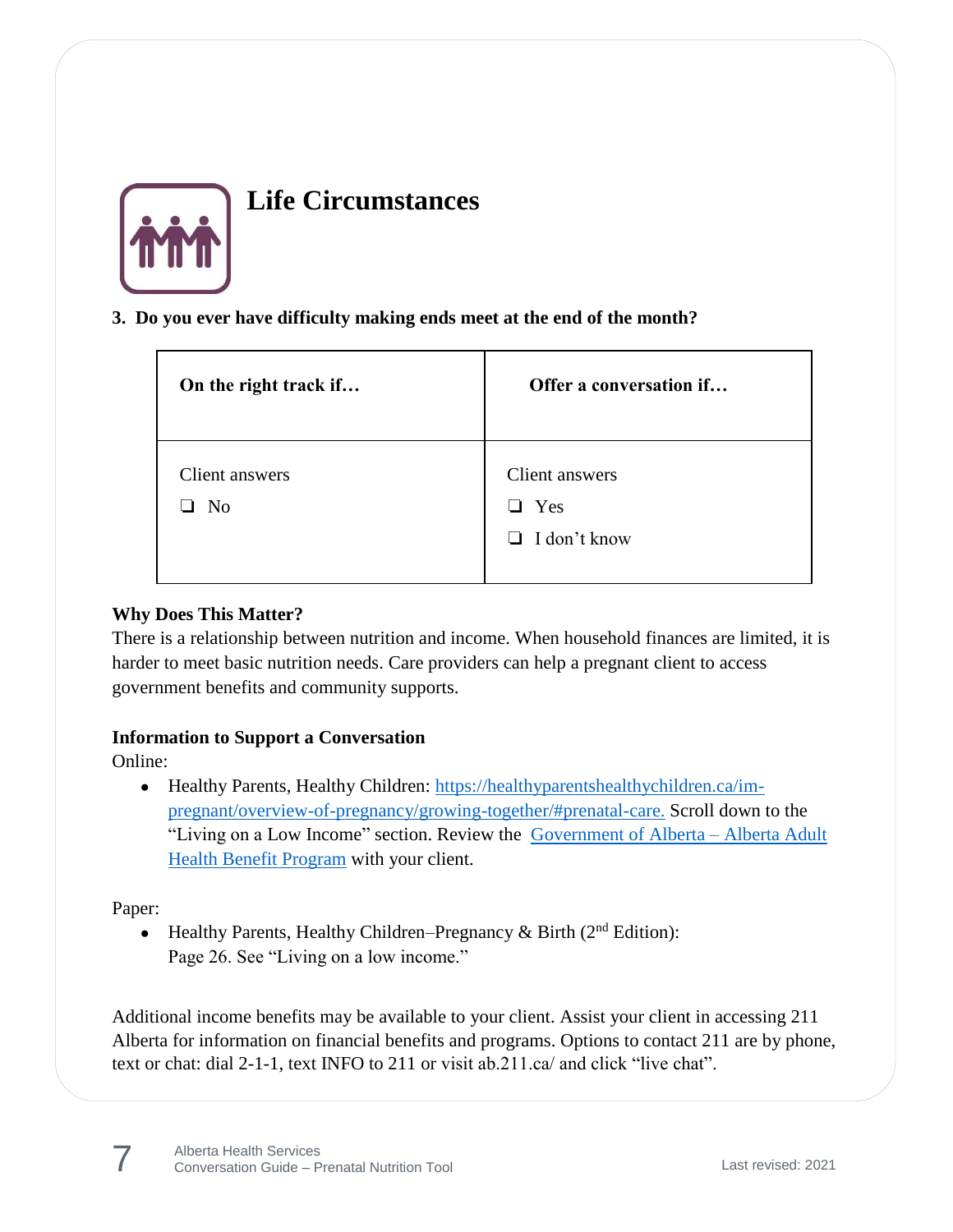

## **Life Circumstances**

#### **3. Do you ever have difficulty making ends meet at the end of the month?**

| On the right track if            | Offer a conversation if                                        |
|----------------------------------|----------------------------------------------------------------|
| Client answers<br>N <sub>o</sub> | Client answers<br>Yes<br>$\blacksquare$<br>$\Box$ I don't know |

#### **Why Does This Matter?**

There is a relationship between nutrition and income. When household finances are limited, it is harder to meet basic nutrition needs. Care providers can help a pregnant client to access government benefits and community supports.

#### **Information to Support a Conversation**

Online:

• Healthy Parents, Healthy Children: [https://healthyparentshealthychildren.ca/im](https://healthyparentshealthychildren.ca/im-pregnant/overview-of-pregnancy/growing-together/#prenatal-care)[pregnant/overview-of-pregnancy/growing-together/#prenatal-care.](https://healthyparentshealthychildren.ca/im-pregnant/overview-of-pregnancy/growing-together/#prenatal-care) Scroll down to the "Living on a Low Income" section. Review the [Government of Alberta –](https://www.alberta.ca/alberta-adult-health-benefit.aspx) Alberta Adult [Health Benefit Program](https://www.alberta.ca/alberta-adult-health-benefit.aspx) with your client.

Paper:

7

• Healthy Parents, Healthy Children–Pregnancy & Birth  $(2^{nd}$  Edition): Page 26. See "Living on a low income."

Additional income benefits may be available to your client. Assist your client in accessing 211 Alberta for information on financial benefits and programs. Options to contact 211 are by phone, text or chat: dial 2-1-1, text INFO to 211 or visit ab.211.ca/ and click "live chat".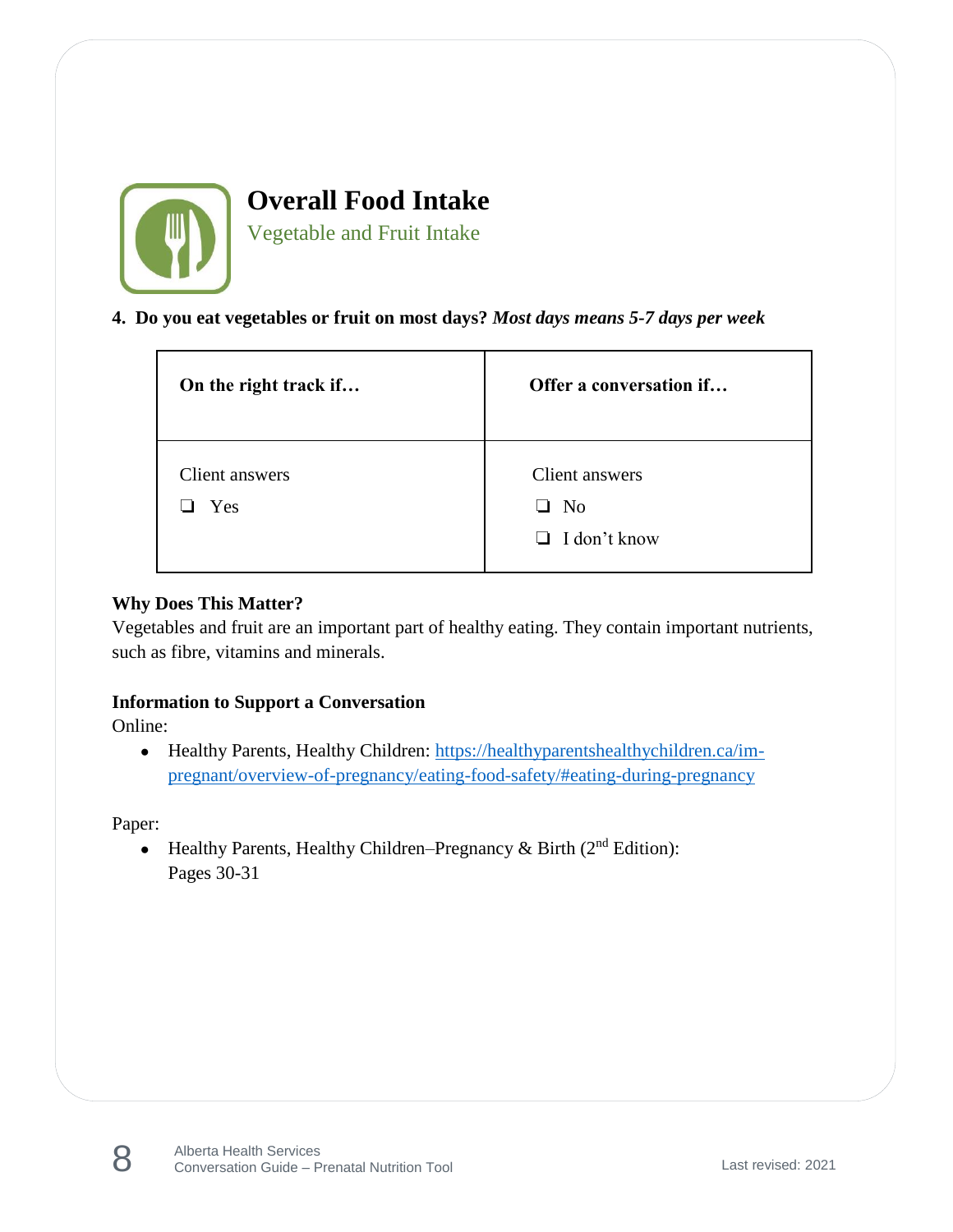

**Overall Food Intake** Vegetable and Fruit Intake

**4. Do you eat vegetables or fruit on most days?** *Most days means 5-7 days per week*

| On the right track if | Offer a conversation if     |
|-----------------------|-----------------------------|
| Client answers<br>Yes | Client answers<br>$\Box$ No |
|                       | $\Box$ I don't know         |

#### **Why Does This Matter?**

Vegetables and fruit are an important part of healthy eating. They contain important nutrients, such as fibre, vitamins and minerals.

#### **Information to Support a Conversation**

Online:

• Healthy Parents, Healthy Children: [https://healthyparentshealthychildren.ca/im](https://healthyparentshealthychildren.ca/im-pregnant/overview-of-pregnancy/eating-food-safety/#eating-during-pregnancy)[pregnant/overview-of-pregnancy/eating-food-safety/#eating-during-pregnancy](https://healthyparentshealthychildren.ca/im-pregnant/overview-of-pregnancy/eating-food-safety/#eating-during-pregnancy)

Paper:

8

• Healthy Parents, Healthy Children–Pregnancy & Birth  $(2<sup>nd</sup> Edition)$ : Pages 30-31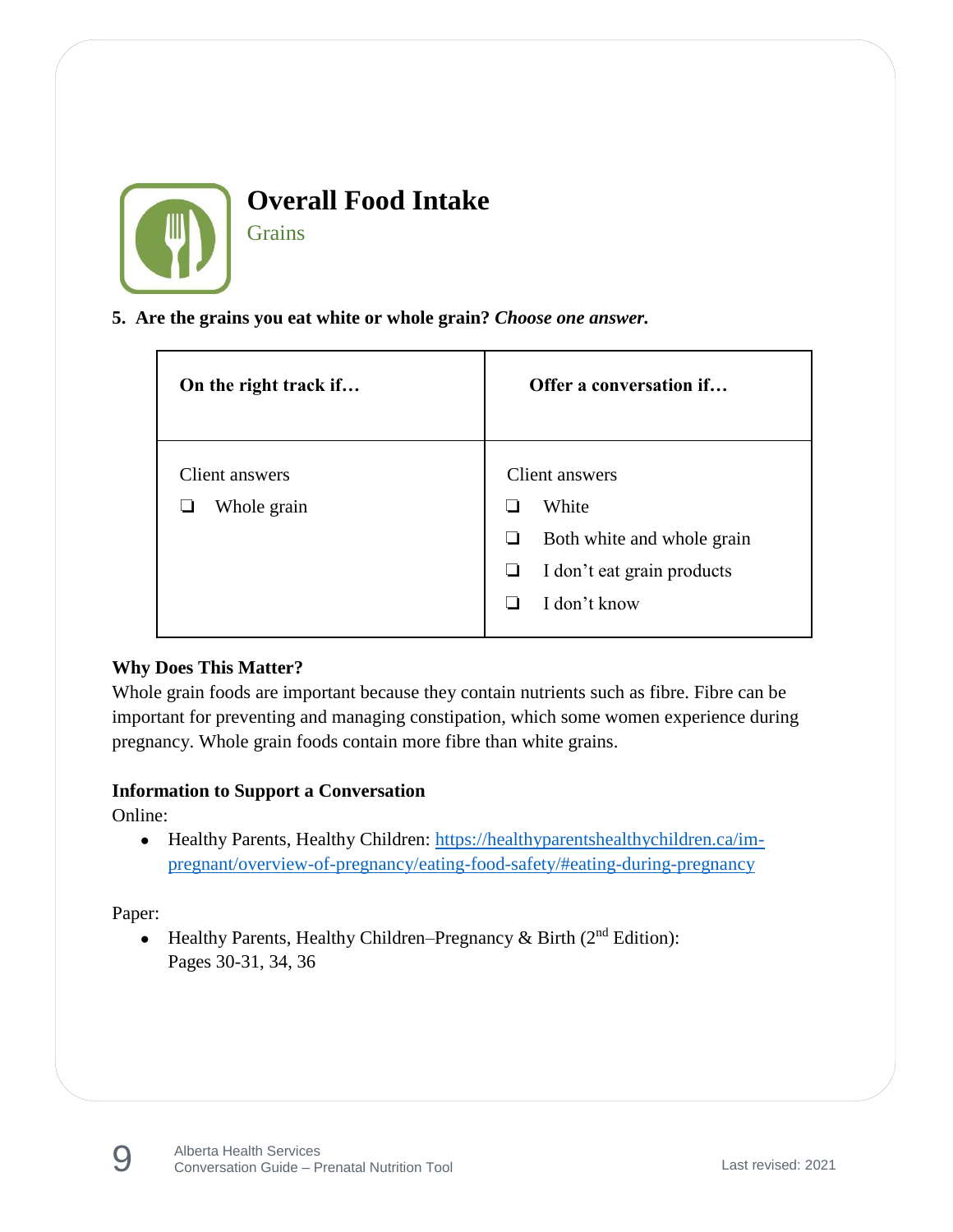

**Grains** 

#### **5. Are the grains you eat white or whole grain?** *Choose one answer.*

| On the right track if         | Offer a conversation if                                                                                  |
|-------------------------------|----------------------------------------------------------------------------------------------------------|
| Client answers<br>Whole grain | Client answers<br>White<br>Both white and whole grain<br>I don't eat grain products<br>⊔<br>I don't know |

#### **Why Does This Matter?**

Whole grain foods are important because they contain nutrients such as fibre. Fibre can be important for preventing and managing constipation, which some women experience during pregnancy. Whole grain foods contain more fibre than white grains.

#### **Information to Support a Conversation**

Online:

• Healthy Parents, Healthy Children: [https://healthyparentshealthychildren.ca/im](https://healthyparentshealthychildren.ca/im-pregnant/overview-of-pregnancy/eating-food-safety/#eating-during-pregnancy)[pregnant/overview-of-pregnancy/eating-food-safety/#eating-during-pregnancy](https://healthyparentshealthychildren.ca/im-pregnant/overview-of-pregnancy/eating-food-safety/#eating-during-pregnancy)

Paper:

• Healthy Parents, Healthy Children–Pregnancy & Birth  $(2<sup>nd</sup> Edition)$ : Pages 30-31, 34, 36

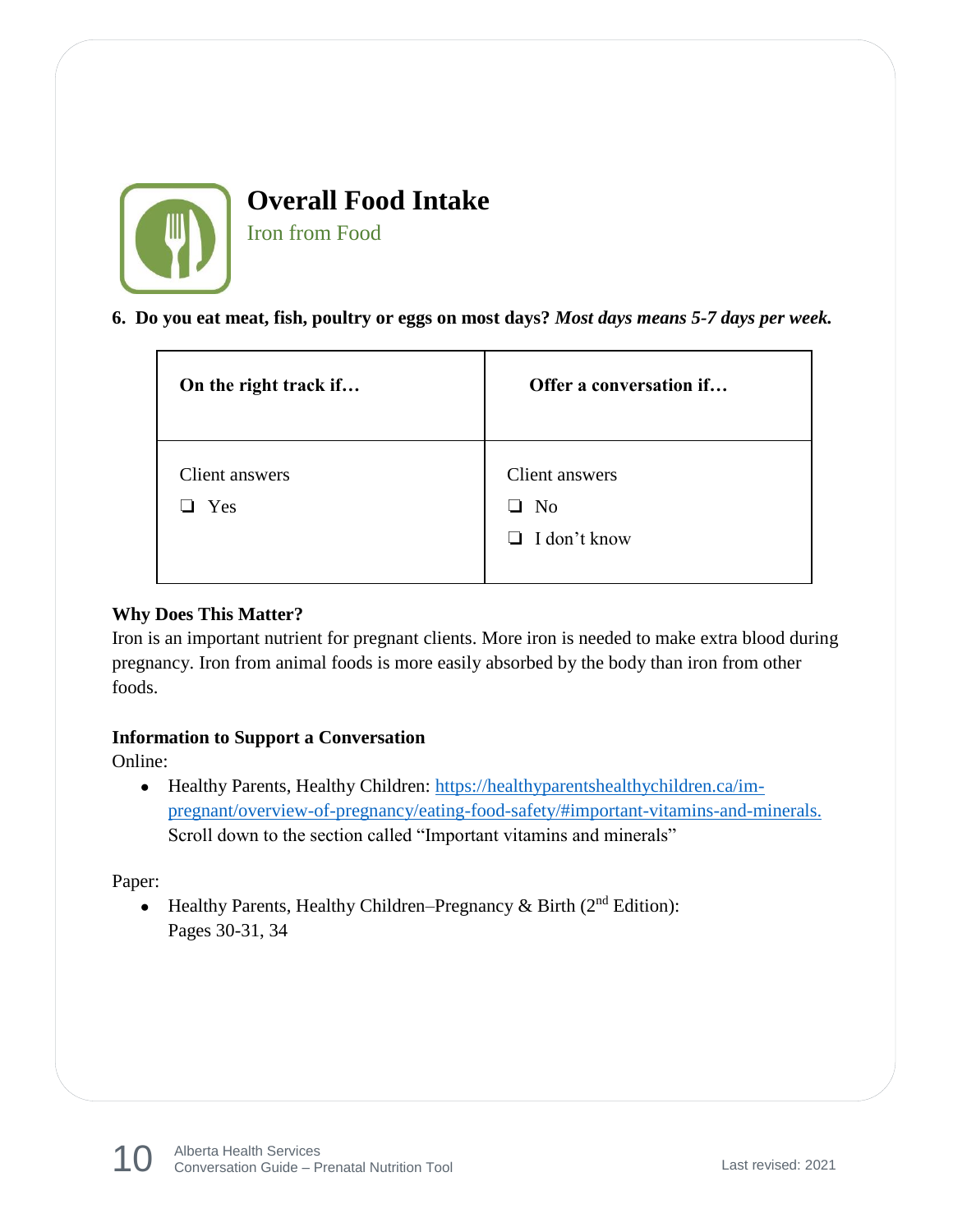

Iron from Food

**6. Do you eat meat, fish, poultry or eggs on most days?** *Most days means 5-7 days per week.*

| On the right track if | Offer a conversation if                                            |
|-----------------------|--------------------------------------------------------------------|
| Client answers<br>Yes | Client answers<br>N <sub>0</sub><br>$\perp$<br>$\Box$ I don't know |

#### **Why Does This Matter?**

Iron is an important nutrient for pregnant clients. More iron is needed to make extra blood during pregnancy. Iron from animal foods is more easily absorbed by the body than iron from other foods.

#### **Information to Support a Conversation**

Online:

• Healthy Parents, Healthy Children: [https://healthyparentshealthychildren.ca/im](https://healthyparentshealthychildren.ca/im-pregnant/overview-of-pregnancy/eating-food-safety/#important-vitamins-and-minerals)[pregnant/overview-of-pregnancy/eating-food-safety/#important-vitamins-and-minerals.](https://healthyparentshealthychildren.ca/im-pregnant/overview-of-pregnancy/eating-food-safety/#important-vitamins-and-minerals) Scroll down to the section called "Important vitamins and minerals"

Paper:

• Healthy Parents, Healthy Children–Pregnancy & Birth  $(2<sup>nd</sup> Edition)$ : Pages 30-31, 34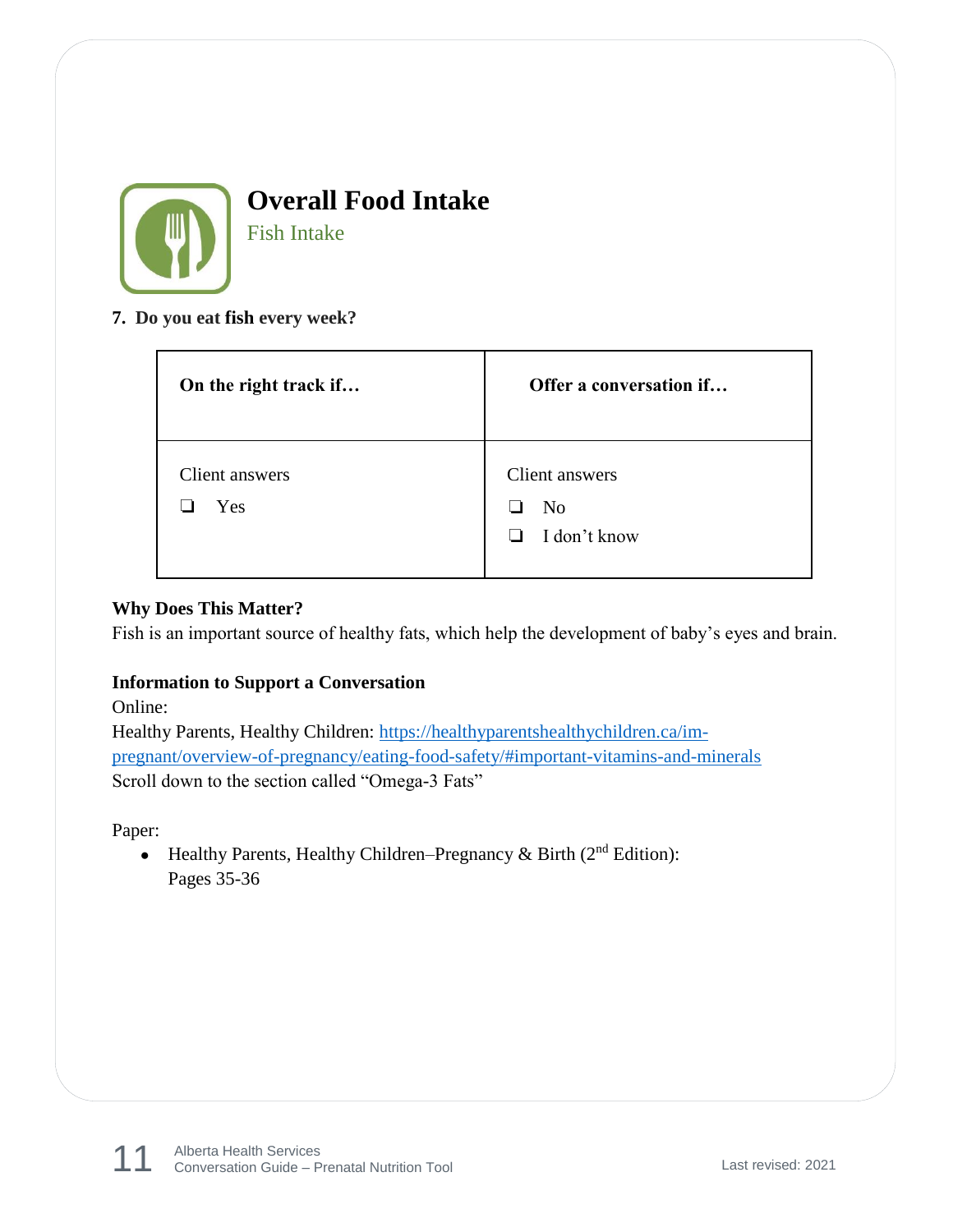

Fish Intake

#### **7. Do you eat fish every week?**

| On the right track if | Offer a conversation if                                    |
|-----------------------|------------------------------------------------------------|
| Client answers<br>Yes | Client answers<br>N <sub>0</sub><br>I don't know<br>$\Box$ |

#### **Why Does This Matter?**

Fish is an important source of healthy fats, which help the development of baby's eyes and brain.

#### **Information to Support a Conversation**

Online:

Healthy Parents, Healthy Children: [https://healthyparentshealthychildren.ca/im](https://healthyparentshealthychildren.ca/im-pregnant/overview-of-pregnancy/eating-food-safety/#important-vitamins-and-minerals)[pregnant/overview-of-pregnancy/eating-food-safety/#important-vitamins-and-minerals](https://healthyparentshealthychildren.ca/im-pregnant/overview-of-pregnancy/eating-food-safety/#important-vitamins-and-minerals) Scroll down to the section called "Omega-3 Fats"

Paper:

• Healthy Parents, Healthy Children–Pregnancy & Birth ( $2<sup>nd</sup>$  Edition): Pages 35-36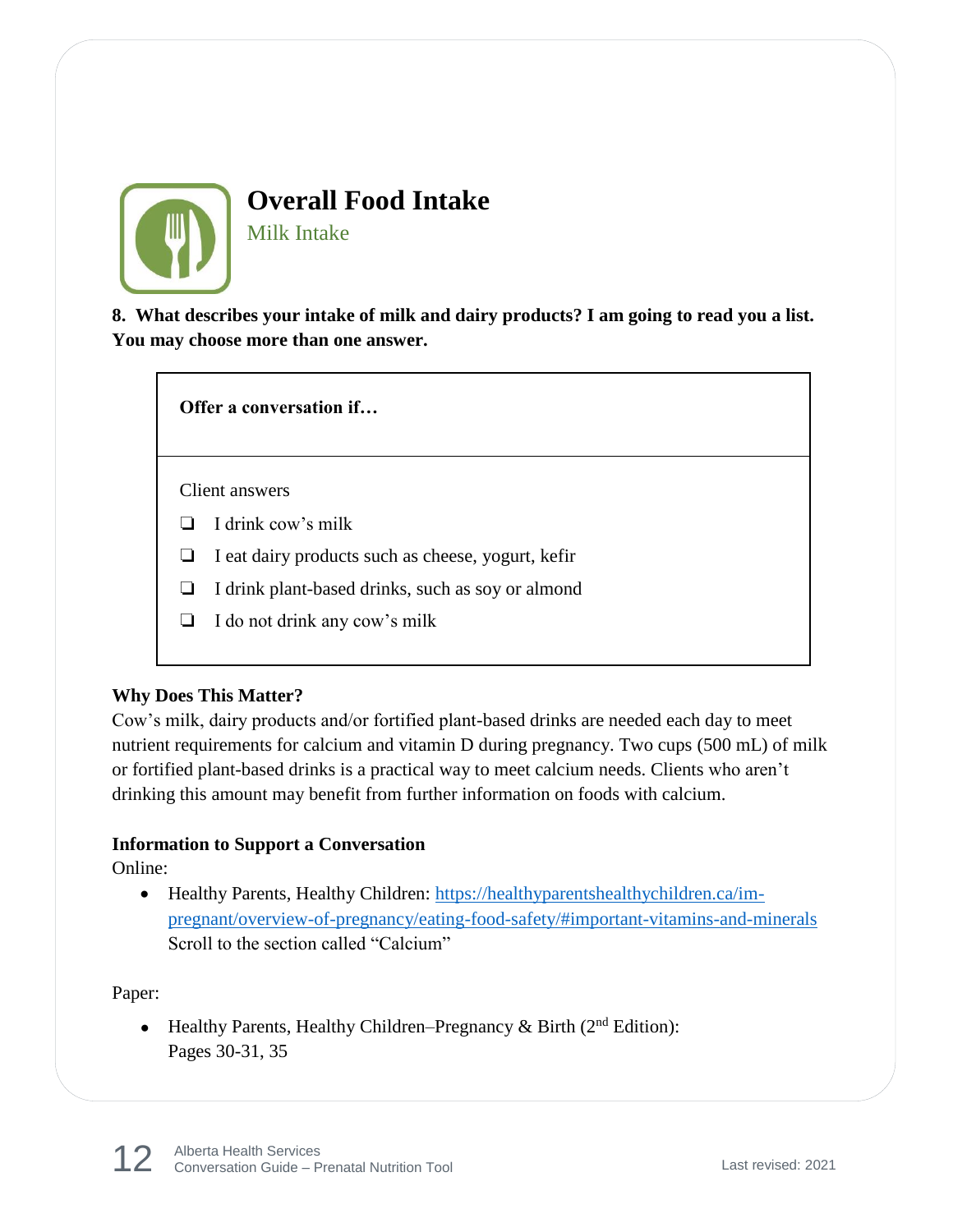

Milk Intake

**8. What describes your intake of milk and dairy products? I am going to read you a list. You may choose more than one answer.** 

**Offer a conversation if…**

Client answers

- ❏ I drink cow's milk
- ❏ I eat dairy products such as cheese, yogurt, kefir
- ❏ I drink plant-based drinks, such as soy or almond
- ❏ I do not drink any cow's milk

#### **Why Does This Matter?**

Cow's milk, dairy products and/or fortified plant-based drinks are needed each day to meet nutrient requirements for calcium and vitamin D during pregnancy. Two cups (500 mL) of milk or fortified plant-based drinks is a practical way to meet calcium needs. Clients who aren't drinking this amount may benefit from further information on foods with calcium.

#### **Information to Support a Conversation**

Online:

• Healthy Parents, Healthy Children: [https://healthyparentshealthychildren.ca/im](https://healthyparentshealthychildren.ca/im-pregnant/overview-of-pregnancy/eating-food-safety/#important-vitamins-and-minerals)[pregnant/overview-of-pregnancy/eating-food-safety/#important-vitamins-and-minerals](https://healthyparentshealthychildren.ca/im-pregnant/overview-of-pregnancy/eating-food-safety/#important-vitamins-and-minerals) Scroll to the section called "Calcium"

Paper:

• Healthy Parents, Healthy Children–Pregnancy & Birth ( $2<sup>nd</sup>$  Edition): Pages 30-31, 35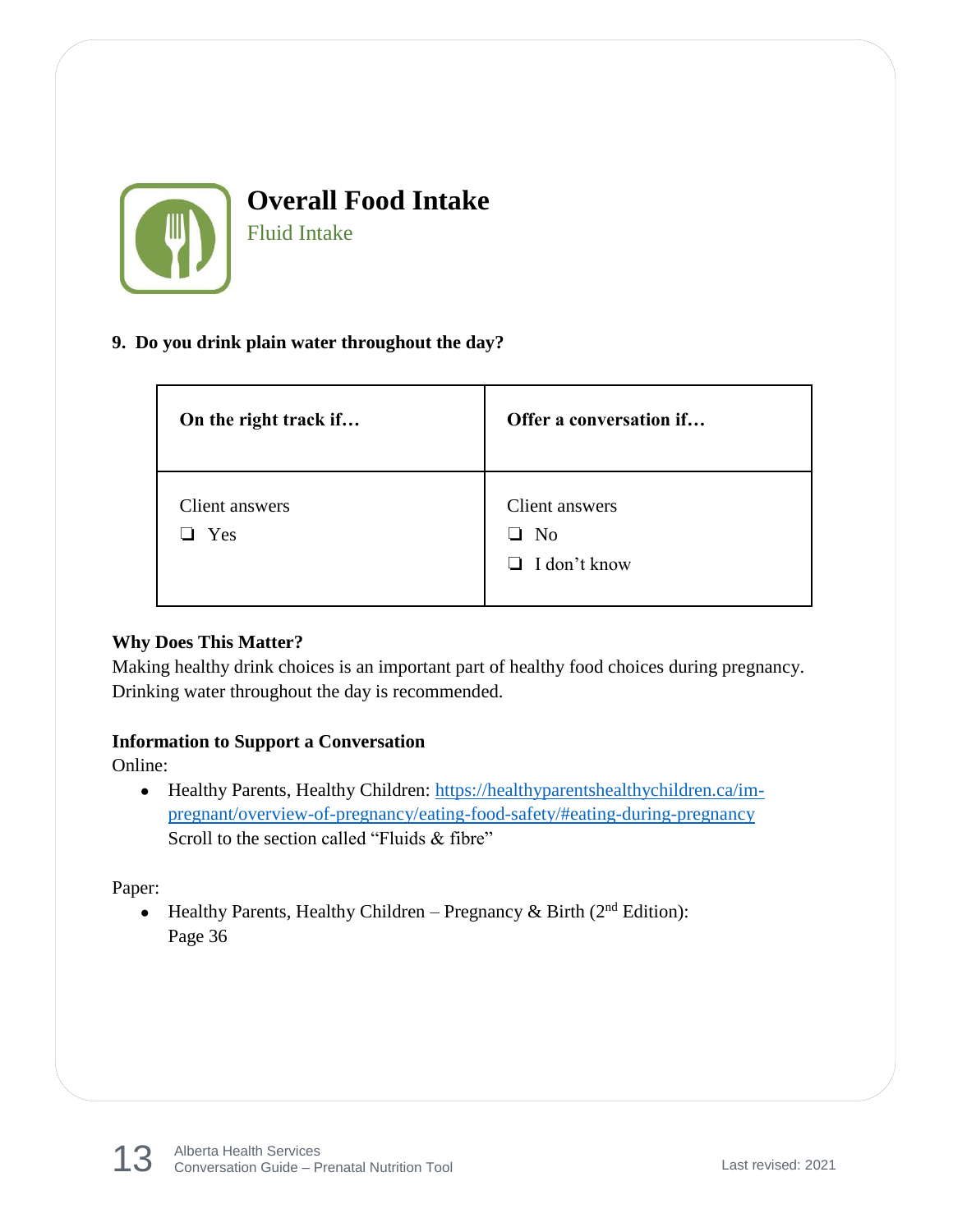

Fluid Intake

#### **9. Do you drink plain water throughout the day?**

| On the right track if        | Offer a conversation if                          |
|------------------------------|--------------------------------------------------|
| Client answers<br>$\Box$ Yes | Client answers<br>No<br>H<br>$\Box$ I don't know |

#### **Why Does This Matter?**

Making healthy drink choices is an important part of healthy food choices during pregnancy. Drinking water throughout the day is recommended.

#### **Information to Support a Conversation**

Online:

● Healthy Parents, Healthy Children: [https://healthyparentshealthychildren.ca/im](https://healthyparentshealthychildren.ca/im-pregnant/overview-of-pregnancy/eating-food-safety/#eating-during-pregnancy)[pregnant/overview-of-pregnancy/eating-food-safety/#eating-during-pregnancy](https://healthyparentshealthychildren.ca/im-pregnant/overview-of-pregnancy/eating-food-safety/#eating-during-pregnancy) Scroll to the section called "Fluids & fibre"

Paper:

• Healthy Parents, Healthy Children – Pregnancy & Birth ( $2<sup>nd</sup>$  Edition): Page 36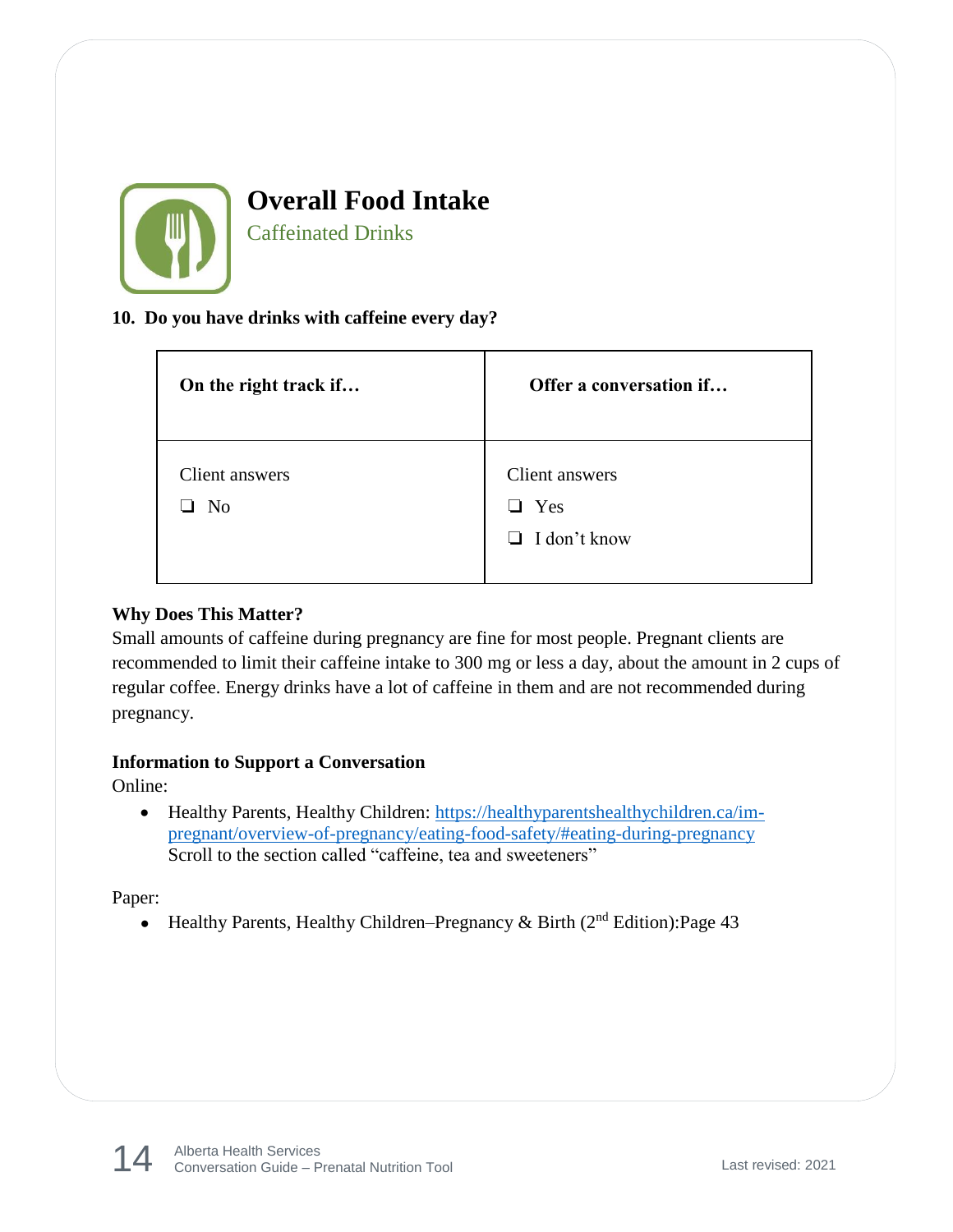

Caffeinated Drinks

#### **10. Do you have drinks with caffeine every day?**

| On the right track if            | Offer a conversation if                             |
|----------------------------------|-----------------------------------------------------|
| Client answers<br>N <sub>0</sub> | Client answers<br>$\Box$ Yes<br>$\Box$ I don't know |

#### **Why Does This Matter?**

Small amounts of caffeine during pregnancy are fine for most people. Pregnant clients are recommended to limit their caffeine intake to 300 mg or less a day, about the amount in 2 cups of regular coffee. Energy drinks have a lot of caffeine in them and are not recommended during pregnancy.

#### **Information to Support a Conversation**

Online:

• Healthy Parents, Healthy Children: [https://healthyparentshealthychildren.ca/im](https://healthyparentshealthychildren.ca/im-pregnant/overview-of-pregnancy/eating-food-safety/#eating-during-pregnancy)[pregnant/overview-of-pregnancy/eating-food-safety/#eating-during-pregnancy](https://healthyparentshealthychildren.ca/im-pregnant/overview-of-pregnancy/eating-food-safety/#eating-during-pregnancy) Scroll to the section called "caffeine, tea and sweeteners"

Paper:

• Healthy Parents, Healthy Children–Pregnancy & Birth ( $2<sup>nd</sup>$  Edition):Page 43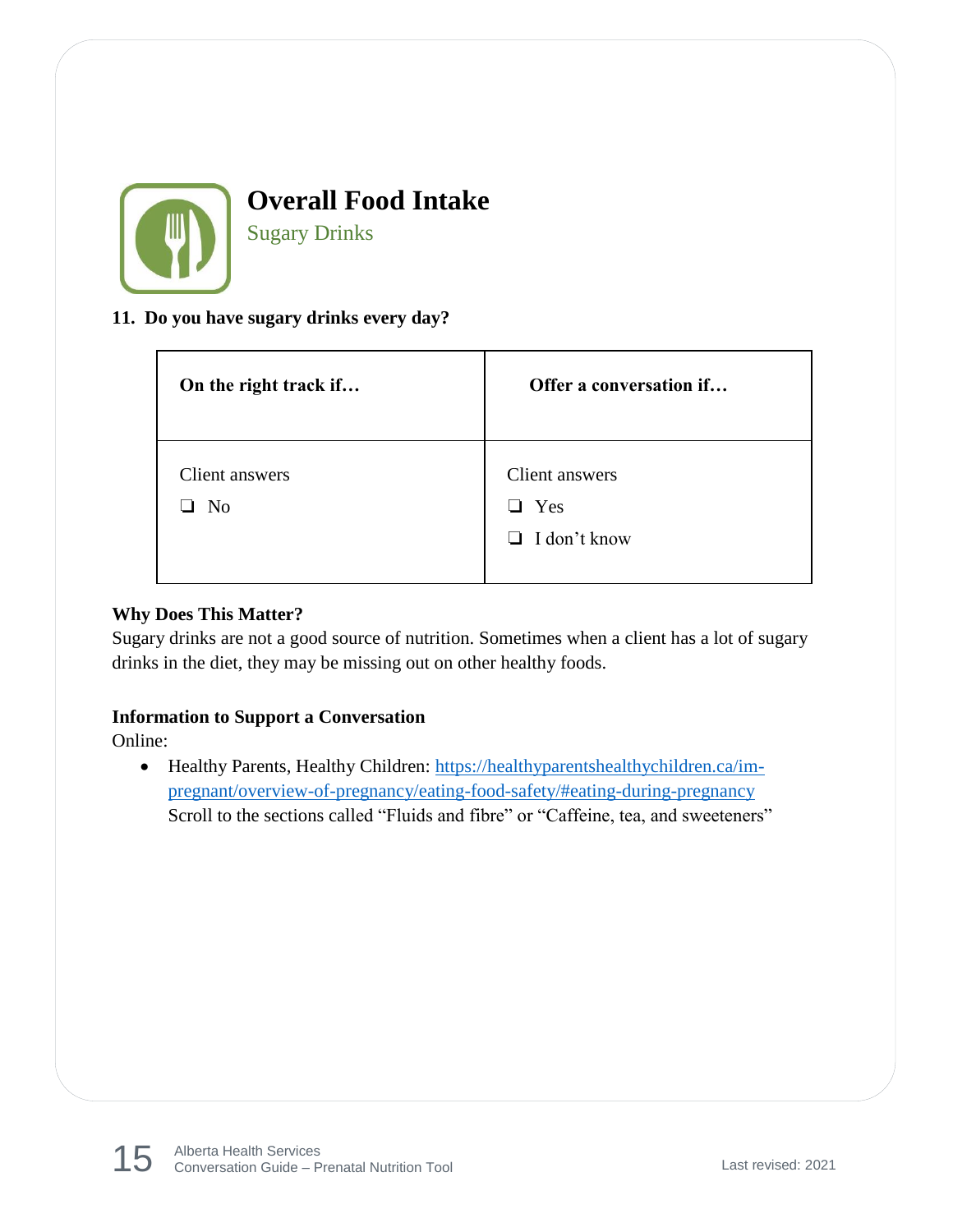

Sugary Drinks

#### **11. Do you have sugary drinks every day?**

| On the right track if            | Offer a conversation if                                        |
|----------------------------------|----------------------------------------------------------------|
| Client answers<br>N <sub>0</sub> | Client answers<br>Yes<br>$\blacksquare$<br>$\Box$ I don't know |

#### **Why Does This Matter?**

Sugary drinks are not a good source of nutrition. Sometimes when a client has a lot of sugary drinks in the diet, they may be missing out on other healthy foods.

#### **Information to Support a Conversation**

Online:

• Healthy Parents, Healthy Children: [https://healthyparentshealthychildren.ca/im](https://healthyparentshealthychildren.ca/im-pregnant/overview-of-pregnancy/eating-food-safety/#eating-during-pregnancy)[pregnant/overview-of-pregnancy/eating-food-safety/#eating-during-pregnancy](https://healthyparentshealthychildren.ca/im-pregnant/overview-of-pregnancy/eating-food-safety/#eating-during-pregnancy) Scroll to the sections called "Fluids and fibre" or "Caffeine, tea, and sweeteners"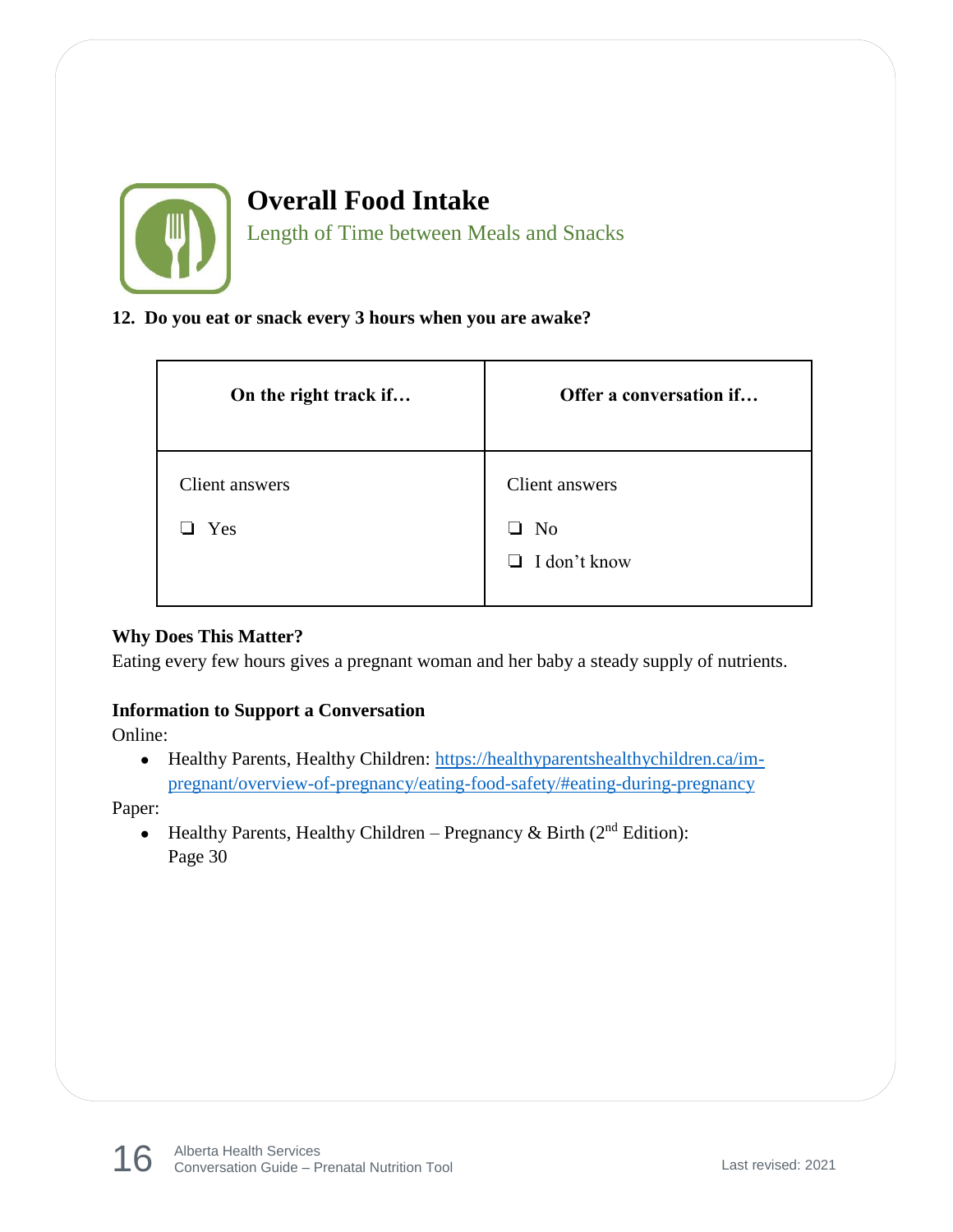

Length of Time between Meals and Snacks

#### **12. Do you eat or snack every 3 hours when you are awake?**

| On the right track if | Offer a conversation if           |
|-----------------------|-----------------------------------|
| Client answers        | Client answers                    |
| Yes                   | No<br>ப<br>I don't know<br>$\Box$ |
|                       |                                   |

#### **Why Does This Matter?**

Eating every few hours gives a pregnant woman and her baby a steady supply of nutrients.

#### **Information to Support a Conversation**

Online:

• Healthy Parents, Healthy Children: [https://healthyparentshealthychildren.ca/im](https://healthyparentshealthychildren.ca/im-pregnant/overview-of-pregnancy/eating-food-safety/#eating-during-pregnancy)[pregnant/overview-of-pregnancy/eating-food-safety/#eating-during-pregnancy](https://healthyparentshealthychildren.ca/im-pregnant/overview-of-pregnancy/eating-food-safety/#eating-during-pregnancy)

Paper:

• Healthy Parents, Healthy Children – Pregnancy & Birth ( $2<sup>nd</sup>$  Edition): Page 30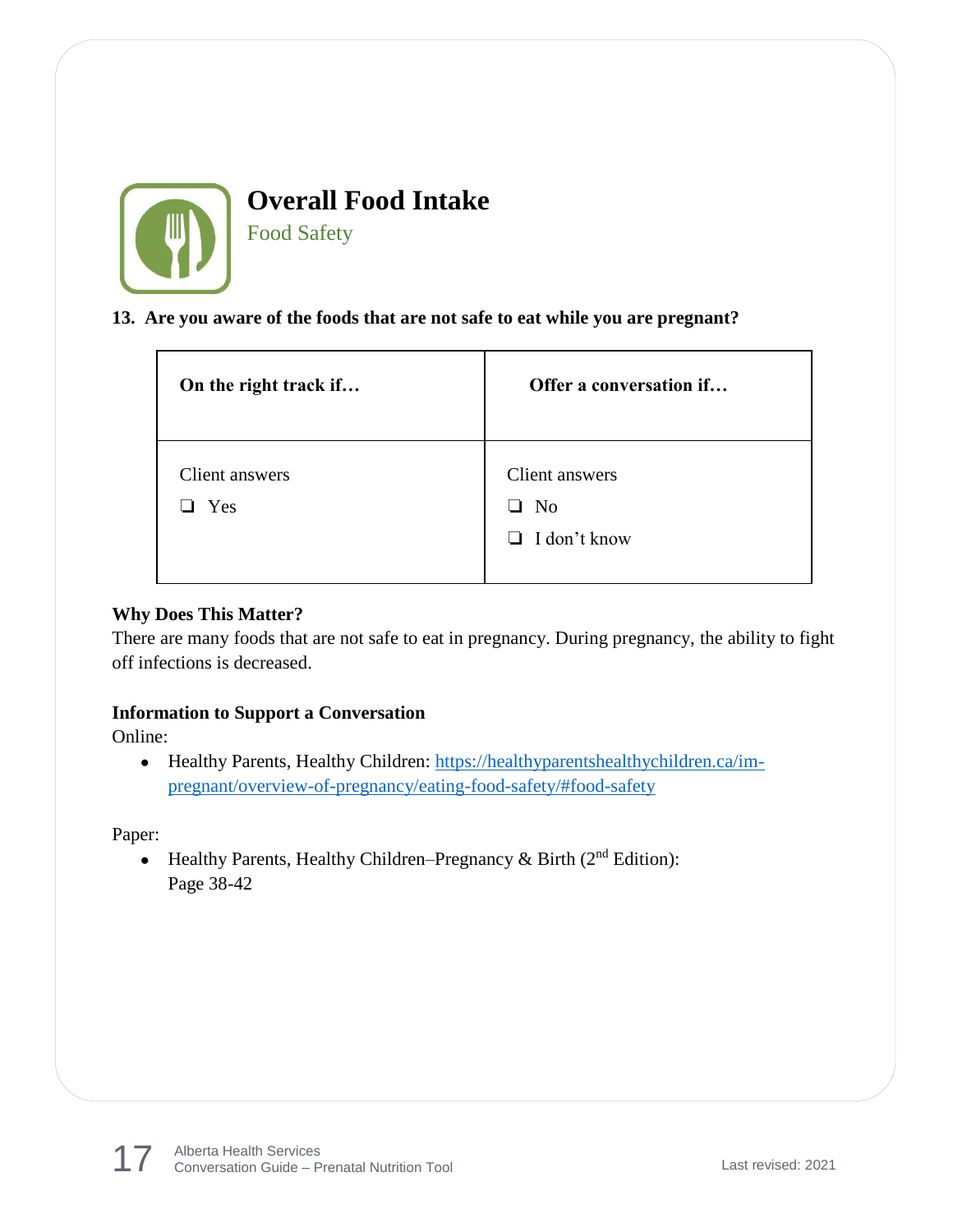

Food Safety

#### **13. Are you aware of the foods that are not safe to eat while you are pregnant?**

| On the right track if | Offer a conversation if                                                   |
|-----------------------|---------------------------------------------------------------------------|
| Client answers<br>Yes | Client answers<br>N <sub>o</sub><br>$\blacksquare$<br>$\Box$ I don't know |

#### **Why Does This Matter?**

There are many foods that are not safe to eat in pregnancy. During pregnancy, the ability to fight off infections is decreased.

#### **Information to Support a Conversation**

Online:

• Healthy Parents, Healthy Children: [https://healthyparentshealthychildren.ca/im](https://healthyparentshealthychildren.ca/im-pregnant/overview-of-pregnancy/eating-food-safety/#food-safety)[pregnant/overview-of-pregnancy/eating-food-safety/#food-safety](https://healthyparentshealthychildren.ca/im-pregnant/overview-of-pregnancy/eating-food-safety/#food-safety)

Paper:

• Healthy Parents, Healthy Children–Pregnancy & Birth  $(2<sup>nd</sup> Edition)$ : Page 38-42